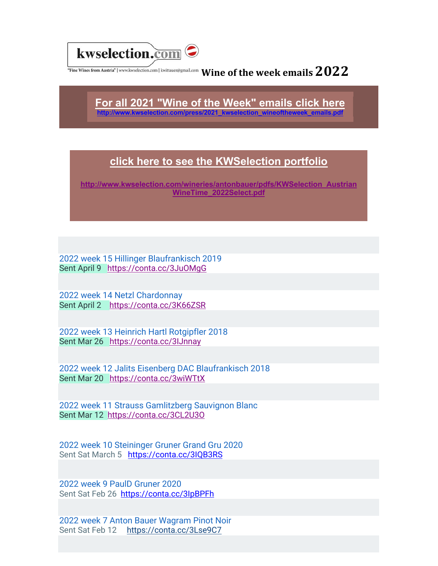

## $\frac{1}{\pi}$ Fine Wines from Austria" | www.kwselection.com | kwittauer@gmail.com Wine of the week emails  $2022$

**For all 2021 "Wine of the Week" emails click here http://www.kwselection.com/press/2021\_kwselection\_wineoftheweek\_emails.pdf**

## **click here to see the KWSelection portfolio**

**http://www.kwselection.com/wineries/antonbauer/pdfs/KWSelection\_Austrian WineTime\_2022Select.pdf**

2022 week 15 Hillinger Blaufrankisch 2019 Sent April 9 https://conta.cc/3JuOMqG

2022 week 14 Netzl Chardonnay Sent April 2 https://conta.cc/3K66ZSR

2022 week 13 Heinrich Hartl Rotgipfler 2018 Sent Mar 26 https://conta.cc/3IJnnay

2022 week 12 Jalits Eisenberg DAC Blaufrankisch 2018 Sent Mar 20 https://conta.cc/3wiWTtX

2022 week 11 Strauss Gamlitzberg Sauvignon Blanc Sent Mar 12 https://conta.cc/3CL2U3O

2022 week 10 Steininger Gruner Grand Gru 2020 Sent Sat March 5 https://conta.cc/3IQB3RS

2022 week 9 PaulD Gruner 2020 Sent Sat Feb 26 https://conta.cc/3IpBPFh

2022 week 7 Anton Bauer Wagram Pinot Noir Sent Sat Feb 12 https://conta.cc/3Lse9C7